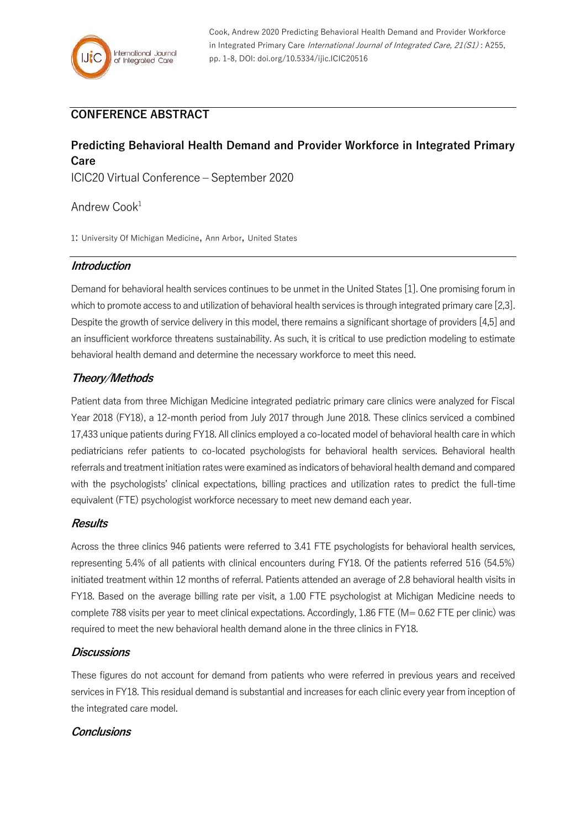# **CONFERENCE ABSTRACT**

# **Predicting Behavioral Health Demand and Provider Workforce in Integrated Primary Care**

ICIC20 Virtual Conference – September 2020

## Andrew Cook<sup>1</sup>

1: University Of Michigan Medicine, Ann Arbor, United States

## **Introduction**

Demand for behavioral health services continues to be unmet in the United States [1]. One promising forum in which to promote access to and utilization of behavioral health services is through integrated primary care [2,3]. Despite the growth of service delivery in this model, there remains a significant shortage of providers [4,5] and an insufficient workforce threatens sustainability. As such, it is critical to use prediction modeling to estimate behavioral health demand and determine the necessary workforce to meet this need.

## **Theory/Methods**

Patient data from three Michigan Medicine integrated pediatric primary care clinics were analyzed for Fiscal Year 2018 (FY18), a 12-month period from July 2017 through June 2018. These clinics serviced a combined 17,433 unique patients during FY18. All clinics employed a co-located model of behavioral health care in which pediatricians refer patients to co-located psychologists for behavioral health services. Behavioral health referrals and treatment initiation rates were examined as indicators of behavioral health demand and compared with the psychologists' clinical expectations, billing practices and utilization rates to predict the full-time equivalent (FTE) psychologist workforce necessary to meet new demand each year.

### **Results**

Across the three clinics 946 patients were referred to 3.41 FTE psychologists for behavioral health services, representing 5.4% of all patients with clinical encounters during FY18. Of the patients referred 516 (54.5%) initiated treatment within 12 months of referral. Patients attended an average of 2.8 behavioral health visits in FY18. Based on the average billing rate per visit, a 1.00 FTE psychologist at Michigan Medicine needs to complete 788 visits per year to meet clinical expectations. Accordingly, 1.86 FTE (M= 0.62 FTE per clinic) was required to meet the new behavioral health demand alone in the three clinics in FY18.

### **Discussions**

These figures do not account for demand from patients who were referred in previous years and received services in FY18. This residual demand is substantial and increases for each clinic every year from inception of the integrated care model.

## **Conclusions**